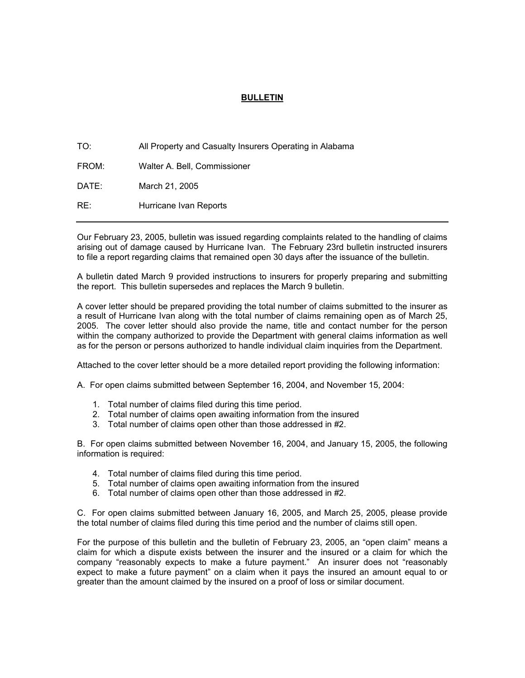## **BULLETIN**

| TO:   | All Property and Casualty Insurers Operating in Alabama |
|-------|---------------------------------------------------------|
| FROM: | Walter A. Bell, Commissioner                            |
| DATE: | March 21, 2005                                          |
| RE:   | Hurricane Ivan Reports                                  |

Our February 23, 2005, bulletin was issued regarding complaints related to the handling of claims arising out of damage caused by Hurricane Ivan. The February 23rd bulletin instructed insurers to file a report regarding claims that remained open 30 days after the issuance of the bulletin.

A bulletin dated March 9 provided instructions to insurers for properly preparing and submitting the report. This bulletin supersedes and replaces the March 9 bulletin.

A cover letter should be prepared providing the total number of claims submitted to the insurer as a result of Hurricane Ivan along with the total number of claims remaining open as of March 25, 2005. The cover letter should also provide the name, title and contact number for the person within the company authorized to provide the Department with general claims information as well as for the person or persons authorized to handle individual claim inquiries from the Department.

Attached to the cover letter should be a more detailed report providing the following information:

A. For open claims submitted between September 16, 2004, and November 15, 2004:

- 1. Total number of claims filed during this time period.
- 2. Total number of claims open awaiting information from the insured
- 3. Total number of claims open other than those addressed in #2.

B. For open claims submitted between November 16, 2004, and January 15, 2005, the following information is required:

- 4. Total number of claims filed during this time period.
- 5. Total number of claims open awaiting information from the insured
- 6. Total number of claims open other than those addressed in #2.

C. For open claims submitted between January 16, 2005, and March 25, 2005, please provide the total number of claims filed during this time period and the number of claims still open.

For the purpose of this bulletin and the bulletin of February 23, 2005, an "open claim" means a claim for which a dispute exists between the insurer and the insured or a claim for which the company "reasonably expects to make a future payment." An insurer does not "reasonably expect to make a future payment" on a claim when it pays the insured an amount equal to or greater than the amount claimed by the insured on a proof of loss or similar document.